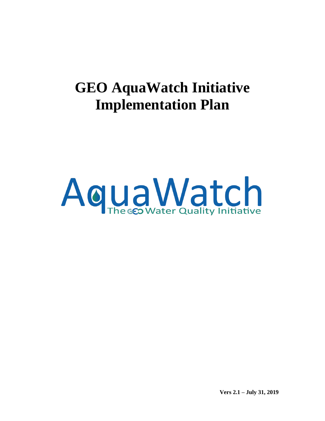# **GEO AquaWatch Initiative Implementation Plan**



**Vers 2.1 – July 31, 2019**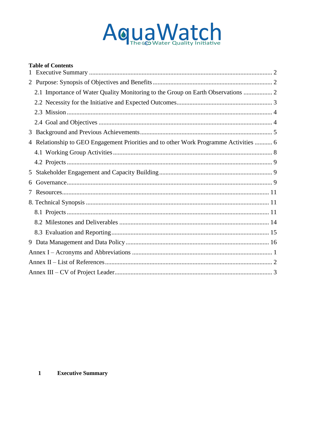

# **Table of Contents**

| 2.1 Importance of Water Quality Monitoring to the Group on Earth Observations  2      |  |
|---------------------------------------------------------------------------------------|--|
|                                                                                       |  |
|                                                                                       |  |
|                                                                                       |  |
|                                                                                       |  |
| 4 Relationship to GEO Engagement Priorities and to other Work Programme Activities  6 |  |
|                                                                                       |  |
|                                                                                       |  |
| 5                                                                                     |  |
| 6                                                                                     |  |
|                                                                                       |  |
|                                                                                       |  |
|                                                                                       |  |
|                                                                                       |  |
|                                                                                       |  |
|                                                                                       |  |
|                                                                                       |  |
|                                                                                       |  |
|                                                                                       |  |

#### <span id="page-1-0"></span>**Executive Summary**  $\mathbf{1}$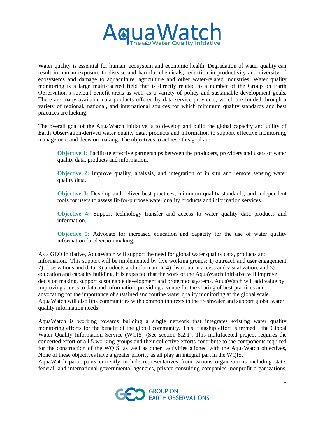

Water quality is essential for human, ecosystem and economic health. Degradation of water quality can result in human exposure to disease and harmful chemicals, reduction in productivity and diversity of ecosystems and damage to aquaculture, agriculture and other water-related industries. Water quality monitoring is a large multi-faceted field that is directly related to a number of the Group on Earth Observation's societal benefit areas as well as a variety of policy and sustainable development goals. There are many available data products offered by data service providers, which are funded through a variety of regional, national, and international sources for which minimum quality standards and best practices are lacking.

The overall goal of the AquaWatch Initiative is to develop and build the global capacity and utility of Earth Observation-derived water quality data, products and information to support effective monitoring, management and decision making. The objectives to achieve this goal are:

**Objective 1:** Facilitate effective partnerships between the producers, providers and users of water quality data, products and information.

**Objective 2:** Improve quality, analysis, and integration of in situ and remote sensing water quality data.

**Objective 3:** Develop and deliver best practices, minimum quality standards, and independent tools for users to assess fit-for-purpose water quality products and information services.

**Objective 4:** Support technology transfer and access to water quality data products and information.

**Objective 5:** Advocate for increased education and capacity for the use of water quality information for decision making.

As a GEO Initiative, AquaWatch will support the need for global water quality data, products and information. This support will be implemented by five working groups: 1) outreach and user engagement, 2) observations and data, 3) products and information, 4) distribution access and visualization, and 5) education and capacity building. It is expected that the work of the AquaWatch Initiative will improve decision making, support sustainable development and protect ecosystems. AquaWatch will add value by improving access to data and information, providing a venue for the sharing of best practices and advocating for the importance of sustained and routine water quality monitoring at the global scale. AquaWatch will also link communities with common interests in the freshwater and support global water quality information needs.

AquaWatch is working towards building a single network that integrates existing water quality monitoring efforts for the benefit of the global community. This flagship effort is termed the Global Water Quality Information Service (WQIS) (See section 8.2.1). This multifaceted project requires the concerted effort of all 5 working groups and their collective efforts contribute to the components required for the construction of the WQIS, as well as other activities aligned with the AquaWatch objectives, None of these objectives have a greater priority as all play an integral part in the WQIS.

AquaWatch participants currently include representatives from various organizations including state, federal, and international governmental agencies, private consulting companies, nonprofit organizations,

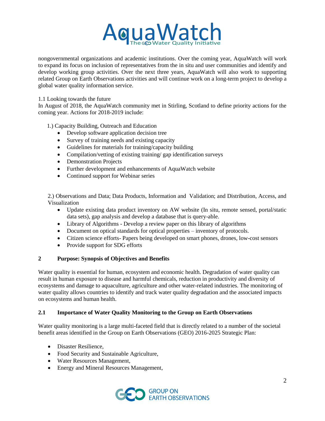

nongovernmental organizations and academic institutions. Over the coming year, AquaWatch will work to expand its focus on inclusion of representatives from the in situ and user communities and identify and develop working group activities. Over the next three years, AquaWatch will also work to supporting related Group on Earth Observations activities and will continue work on a long-term project to develop a global water quality information service.

# 1.1 Looking towards the future

In August of 2018, the AquaWatch community met in Stirling, Scotland to define priority actions for the coming year. Actions for 2018-2019 include:

1.) Capacity Building, Outreach and Education

- Develop software application decision tree
- Survey of training needs and existing capacity
- Guidelines for materials for training/capacity building
- Compilation/vetting of existing training/ gap identification surveys
- Demonstration Projects
- Further development and enhancements of AquaWatch website
- Continued support for Webinar series

2.) Observations and Data; Data Products, Information and Validation; and Distribution, Access, and Visualization

- Update existing data product inventory on AW website (In situ, remote sensed, portal/static data sets), gap analysis and develop a database that is query-able.
- Library of Algorithms Develop a review paper on this library of algorithms
- Document on optical standards for optical properties inventory of protocols.
- Citizen science efforts- Papers being developed on smart phones, drones, low-cost sensors
- Provide support for SDG efforts

# <span id="page-3-0"></span>**2 Purpose: Synopsis of Objectives and Benefits**

Water quality is essential for human, ecosystem and economic health. Degradation of water quality can result in human exposure to disease and harmful chemicals, reduction in productivity and diversity of ecosystems and damage to aquaculture, agriculture and other water-related industries. The monitoring of water quality allows countries to identify and track water quality degradation and the associated impacts on ecosystems and human health.

# <span id="page-3-1"></span>**2.1 Importance of Water Quality Monitoring to the Group on Earth Observations**

Water quality monitoring is a large multi-faceted field that is directly related to a number of the societal benefit areas identified in the Group on Earth Observations (GEO) 2016-2025 Strategic Plan:

- Disaster Resilience.
- Food Security and Sustainable Agriculture,
- Water Resources Management,
- Energy and Mineral Resources Management,

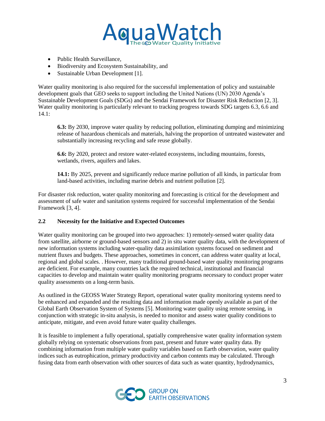

- Public Health Surveillance,
- Biodiversity and Ecosystem Sustainability, and
- Sustainable Urban Development [1].

Water quality monitoring is also required for the successful implementation of policy and sustainable development goals that GEO seeks to support including the United Nations (UN) 2030 Agenda's Sustainable Development Goals (SDGs) and the Sendai Framework for Disaster Risk Reduction [2, 3]. Water quality monitoring is particularly relevant to tracking progress towards SDG targets 6.3, 6.6 and 14.1:

**6.3:** By 2030, improve water quality by reducing pollution, eliminating dumping and minimizing release of hazardous chemicals and materials, halving the proportion of untreated wastewater and substantially increasing recycling and safe reuse globally.

**6.6:** By 2020, protect and restore water-related ecosystems, including mountains, forests, wetlands, rivers, aquifers and lakes.

**14.1:** By 2025, prevent and significantly reduce marine pollution of all kinds, in particular from land-based activities, including marine debris and nutrient pollution [2].

For disaster risk reduction, water quality monitoring and forecasting is critical for the development and assessment of safe water and sanitation systems required for successful implementation of the Sendai Framework [3, 4].

# <span id="page-4-0"></span>**2.2 Necessity for the Initiative and Expected Outcomes**

Water quality monitoring can be grouped into two approaches: 1) remotely-sensed water quality data from satellite, airborne or ground-based sensors and 2) in situ water quality data, with the development of new information systems including water-quality data assimilation systems focused on sediment and nutrient fluxes and budgets. These approaches, sometimes in concert, can address water quality at local, regional and global scales. . However, many traditional ground-based water quality monitoring programs are deficient. For example, many countries lack the required technical, institutional and financial capacities to develop and maintain water quality monitoring programs necessary to conduct proper water quality assessments on a long-term basis.

As outlined in the GEOSS Water Strategy Report, operational water quality monitoring systems need to be enhanced and expanded and the resulting data and information made openly available as part of the Global Earth Observation System of Systems [5]. Monitoring water quality using remote sensing, in conjunction with strategic in-situ analysis, is needed to monitor and assess water quality conditions to anticipate, mitigate, and even avoid future water quality challenges.

It is feasible to implement a fully operational, spatially comprehensive water quality information system globally relying on systematic observations from past, present and future water quality data. By combining information from multiple water quality variables based on Earth observation, water quality indices such as eutrophication, primary productivity and carbon contents may be calculated. Through fusing data from earth observation with other sources of data such as water quantity, hydrodynamics,

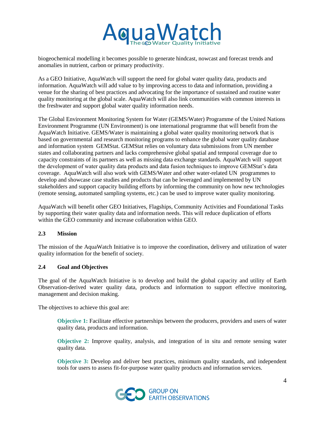

biogeochemical modelling it becomes possible to generate hindcast, nowcast and forecast trends and anomalies in nutrient, carbon or primary productivity.

As a GEO Initiative, AquaWatch will support the need for global water quality data, products and information. AquaWatch will add value to by improving access to data and information, providing a venue for the sharing of best practices and advocating for the importance of sustained and routine water quality monitoring at the global scale. AquaWatch will also link communities with common interests in the freshwater and support global water quality information needs.

The Global Environment Monitoring System for Water (GEMS/Water) Programme of the United Nations Environment Programme (UN Environment) is one international programme that will benefit from the AquaWatch Initiative. GEMS/Water is maintaining a global water quality monitoring network that is based on governmental and research monitoring programs to enhance the global water quality database and information system GEMStat. GEMStat relies on voluntary data submissions from UN member states and collaborating partners and lacks comprehensive global spatial and temporal coverage due to capacity constraints of its partners as well as missing data exchange standards. AquaWatch will support the development of water quality data products and data fusion techniques to improve GEMStat's data coverage. AquaWatch will also work with GEMS/Water and other water-related UN programmes to develop and showcase case studies and products that can be leveraged and implemented by UN stakeholders and support capacity building efforts by informing the community on how new technologies (remote sensing, automated sampling systems, etc.) can be used to improve water quality monitoring.

AquaWatch will benefit other GEO Initiatives, Flagships, Community Activities and Foundational Tasks by supporting their water quality data and information needs. This will reduce duplication of efforts within the GEO community and increase collaboration within GEO.

# <span id="page-5-0"></span>**2.3 Mission**

The mission of the AquaWatch Initiative is to improve the coordination, delivery and utilization of water quality information for the benefit of society.

# <span id="page-5-1"></span>**2.4 Goal and Objectives**

The goal of the AquaWatch Initiative is to develop and build the global capacity and utility of Earth Observation-derived water quality data, products and information to support effective monitoring, management and decision making.

The objectives to achieve this goal are:

**Objective 1:** Facilitate effective partnerships between the producers, providers and users of water quality data, products and information.

**Objective 2:** Improve quality, analysis, and integration of in situ and remote sensing water quality data.

**Objective 3:** Develop and deliver best practices, minimum quality standards, and independent tools for users to assess fit-for-purpose water quality products and information services.

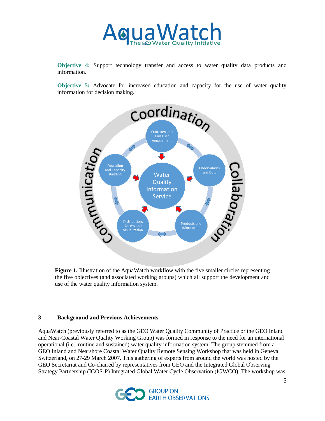

**Objective 4:** Support technology transfer and access to water quality data products and information.

**Objective 5:** Advocate for increased education and capacity for the use of water quality information for decision making.



**Figure 1.** Illustration of the AquaWatch workflow with the five smaller circles representing the five objectives (and associated working groups) which all support the development and use of the water quality information system.

#### <span id="page-6-0"></span>**3 Background and Previous Achievements**

AquaWatch (previously referred to as the GEO Water Quality Community of Practice or the GEO Inland and Near-Coastal Water Quality Working Group) was formed in response to the need for an international operational (i.e., routine and sustained) water quality information system. The group stemmed from a GEO Inland and Nearshore Coastal Water Quality Remote Sensing Workshop that was held in Geneva, Switzerland, on 27-29 March 2007. This gathering of experts from around the world was hosted by the GEO Secretariat and Co-chaired by representatives from GEO and the Integrated Global Observing Strategy Partnership (IGOS-P) Integrated Global Water Cycle Observation (IGWCO). The workshop was

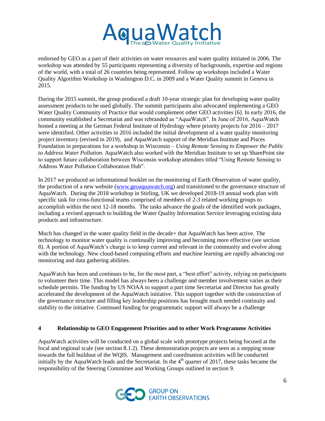

endorsed by GEO as a part of their activities on water resources and water quality initiated in 2006. The workshop was attended by 55 participants representing a diversity of backgrounds, expertise and regions of the world, with a total of 26 countries being represented. Follow up workshops included a Water Quality Algorithm Workshop in Washington D.C. in 2009 and a Water Quality summit in Geneva in 2015.

During the 2015 summit, the group produced a draft 10-year strategic plan for developing water quality assessment products to be used globally. The summit participants also advocated implementing a GEO Water Quality Community of Practice that would complement other GEO activities [6]. In early 2016, the community established a Secretariat and was rebranded as "AquaWatch". In June of 2016, AquaWatch hosted a meeting at the German Federal Institute of Hydrology where priority projects for 2016 – 2017 were identified. Other activities in 2016 included the initial development of a water quality monitoring project inventory (revised in 2019), and AquaWatch support of the Meridian Institute and Pisces Foundation in preparations for a workshop in Wisconsin – *Using Remote Sensing to Empower the Public to Address Water Pollution*. AquaWatch also worked with the Meridian Institute to set up SharePoint site to support future collaboration between Wisconsin workshop attendees titled "Using Remote Sensing to Address Water Pollution Collaboration Hub".

In 2017 we produced an informational booklet on the monitoring of Earth Observation of water quality, the production of a new website [\(www.geoaquawatch.org\)](http://www.geoaquawatch.org/) and transitioned to the governance structure of AquaWatch. During the 2018 workshop in Stirling, UK we developed 2018-19 annual work plan with specific task for cross-functional teams comprised of members of 2-3 related working groups to accomplish within the next 12-18 months. The tasks advance the goals of the identified work packages, including a revised approach to building the Water Quality Information Service leveraging existing data products and infrastructure.

Much has changed in the water quality field in the decade+ that AquaWatch has been active. The technology to monitor water quality is continually improving and becoming more effective (see section 8). A portion of AquaWatch's charge is to keep current and relevant in the community and evolve along with the technology. New cloud-based computing efforts and machine learning are rapidly advancing our monitoring and data gathering abilities.

AquaWatch has been and continues to be, for the most part, a "best effort" activity, relying on participants to volunteer their time. This model has always been a challenge and member involvement varies as their schedule permits. The funding by US NOAA to support a part time Secretariat and Director has greatly accelerated the development of the AquaWatch initiative. This support together with the construction of the governance structure and filling key leadership positions has brought much needed continuity and stability to the initiative. Continued funding for programmatic support will always be a challenge

# <span id="page-7-0"></span>**4 Relationship to GEO Engagement Priorities and to other Work Programme Activities**

AquaWatch activities will be conducted on a global scale with prototype projects being focused at the local and regional scale (see section 8.1.2). These demonstration projects are seen as a stepping stone towards the full buildout of the WQIS. Management and coordination activities will be conducted initially by the AquaWatch leads and the Secretariat. In the  $4<sup>th</sup>$  quarter of 2017, these tasks became the responsibility of the Steering Committee and Working Groups outlined in section 9.

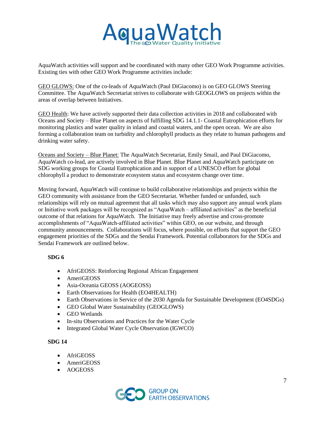

AquaWatch activities will support and be coordinated with many other GEO Work Programme activities. Existing ties with other GEO Work Programme activities include:

GEO GLOWS: One of the co-leads of AquaWatch (Paul DiGiacomo) is on GEO GLOWS Steering Committee. The AquaWatch Secretariat strives to collaborate with GEOGLOWS on projects within the areas of overlap between Initiatives.

GEO Health: We have actively supported their data collection activities in 2018 and collaborated with Oceans and Society – Blue Planet on aspects of fulfilling SDG 14.1.1- Coastal Eutrophication efforts for monitoring plastics and water quality in inland and coastal waters, and the open ocean. We are also forming a collaboration team on turbidity and chlorophyll products as they relate to human pathogens and drinking water safety.

Oceans and Society – Blue Planet: The AquaWatch Secretariat, Emily Smail, and Paul DiGiacomo, AquaWatch co-lead, are actively involved in Blue Planet. Blue Planet and AquaWatch participate on SDG working groups for Coastal Eutrophication and in support of a UNESCO effort for global chlorophyll a product to demonstrate ecosystem status and ecosystem change over time.

Moving forward, AquaWatch will continue to build collaborative relationships and projects within the GEO community with assistance from the GEO Secretariat. Whether funded or unfunded, such relationships will rely on mutual agreement that all tasks which may also support any annual work plans or Initiative work packages will be recognized as "AquaWatch – affiliated activities" as the beneficial outcome of that relations for AquaWatch. The Initiative may freely advertise and cross-promote accomplishments of "AquaWatch-affiliated activities" within GEO, on our website, and through community announcements. Collaborations will focus, where possible, on efforts that support the GEO engagement priorities of the SDGs and the Sendai Framework. Potential collaborators for the SDGs and Sendai Framework are outlined below.

# **SDG 6**

- AfriGEOSS: Reinforcing Regional African Engagement
- AmeriGEOSS
- Asia-Oceania GEOSS (AOGEOSS)
- Earth Observations for Health (EO4HEALTH)
- Earth Observations in Service of the 2030 Agenda for Sustainable Development (EO4SDGs)
- GEO Global Water Sustainability (GEOGLOWS)
- GEO Wetlands
- In-situ Observations and Practices for the Water Cycle
- Integrated Global Water Cycle Observation (IGWCO)

# **SDG 14**

- AfriGEOSS
- AmeriGEOSS
- AOGEOSS

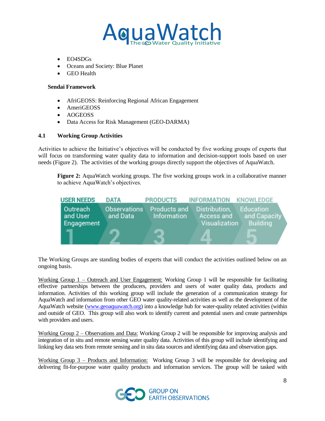

- EO4SDGs
- Oceans and Society: Blue Planet
- GEO Health

#### **Sendai Framework**

- AfriGEOSS: Reinforcing Regional African Engagement
- AmeriGEOSS
- AOGEOSS
- Data Access for Risk Management (GEO-DARMA)

# <span id="page-9-0"></span>**4.1 Working Group Activities**

Activities to achieve the Initiative's objectives will be conducted by five working groups of experts that will focus on transforming water quality data to information and decision-support tools based on user needs (Figure 2). The activities of the working groups directly support the objectives of AquaWatch.

**Figure 2:** AquaWatch working groups. The five working groups work in a collaborative manner to achieve AquaWatch's objectives.



The Working Groups are standing bodies of experts that will conduct the activities outlined below on an ongoing basis.

Working Group 1 – Outreach and User Engagement: Working Group 1 will be responsible for facilitating effective partnerships between the producers, providers and users of water quality data, products and information. Activities of this working group will include the generation of a communication strategy for AquaWatch and information from other GEO water quality-related activities as well as the development of the AquaWatch website [\(www.geoaquawatch.org\)](http://www.geoaquawatch.org/) into a knowledge hub for water-quality related activities (within and outside of GEO. This group will also work to identify current and potential users and create partnerships with providers and users.

Working Group 2 – Observations and Data: Working Group 2 will be responsible for improving analysis and integration of in situ and remote sensing water quality data. Activities of this group will include identifying and linking key data sets from remote sensing and in situ data sources and identifying data and observation gaps.

Working Group 3 – Products and Information: Working Group 3 will be responsible for developing and delivering fit-for-purpose water quality products and information services. The group will be tasked with

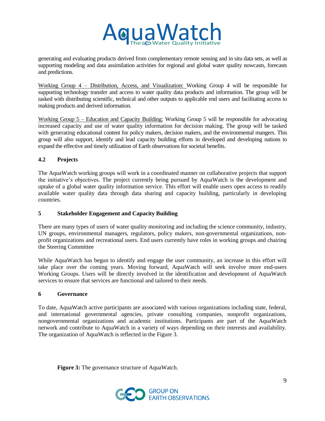

generating and evaluating products derived from complementary remote sensing and in situ data sets, as well as supporting modeling and data assimilation activities for regional and global water quality nowcasts, forecasts and predictions.

Working Group 4 – Distribution, Access, and Visualization: Working Group 4 will be responsible for supporting technology transfer and access to water quality data products and information. The group will be tasked with distributing scientific, technical and other outputs to applicable end users and facilitating access to making products and derived information.

Working Group 5 – Education and Capacity Building: Working Group 5 will be responsible for advocating increased capacity and use of water quality information for decision making. The group will be tasked with generating educational content for policy makers, decision makers, and the environmental mangers. This group will also support, identify and lead capacity building efforts in developed and developing nations to expand the effective and timely utilization of Earth observations for societal benefits.

# <span id="page-10-0"></span>**4.2 Projects**

The AquaWatch working groups will work in a coordinated manner on collaborative projects that support the initiative's objectives. The project currently being pursued by AquaWatch is the development and uptake of a global water quality information service. This effort will enable users open access to readily available water quality data through data sharing and capacity building, particularly in developing countries.

# <span id="page-10-1"></span>**5 Stakeholder Engagement and Capacity Building**

There are many types of users of water quality monitoring and including the science community, industry, UN groups, environmental managers, regulators, policy makers, non-governmental organizations, nonprofit organizations and recreational users. End users currently have roles in working groups and chairing the Steering Committee

While AquaWatch has begun to identify and engage the user community, an increase in this effort will take place over the coming years. Moving forward, AquaWatch will seek involve more end-users Working Groups. Users will be directly involved in the identification and development of AquaWatch services to ensure that services are functional and tailored to their needs.

# <span id="page-10-2"></span>**6 Governance**

To date, AquaWatch active participants are associated with various organizations including state, federal, and international governmental agencies, private consulting companies, nonprofit organizations, nongovernmental organizations and academic institutions. Participants are part of the AquaWatch network and contribute to AquaWatch in a variety of ways depending on their interests and availability. The organization of AquaWatch is reflected in the Figure 3.

**Figure 3:** The governance structure of AquaWatch.

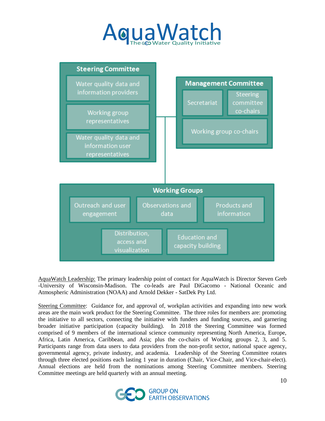



AquaWatch Leadership: The primary leadership point of contact for AquaWatch is Director Steven Greb -University of Wisconsin-Madison. The co-leads are Paul DiGacomo - National Oceanic and Atmospheric Administration (NOAA) and Arnold Dekker - SatDek Pty Ltd.

Steering Committee: Guidance for, and approval of, workplan activities and expanding into new work areas are the main work product for the Steering Committee. The three roles for members are: promoting the initiative to all sectors, connecting the initiative with funders and funding sources, and garnering broader initiative participation (capacity building). In 2018 the Steering Committee was formed comprised of 9 members of the international science community representing North America, Europe, Africa, Latin America, Caribbean, and Asia; plus the co-chairs of Working groups 2, 3, and 5. Participants range from data users to data providers from the non-profit sector, national space agency, governmental agency, private industry, and academia. Leadership of the Steering Committee rotates through three elected positions each lasting 1 year in duration (Chair, Vice-Chair, and Vice-chair-elect). Annual elections are held from the nominations among Steering Committee members. Steering Committee meetings are held quarterly with an annual meeting.

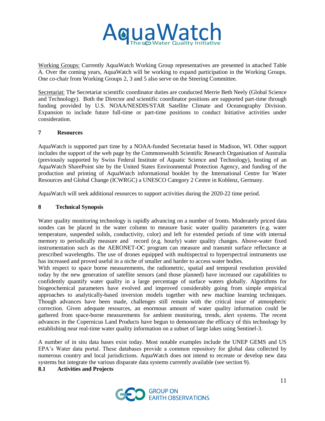

Working Groups: Currently AquaWatch Working Group representatives are presented in attached Table A. Over the coming years, AquaWatch will be working to expand participation in the Working Groups. One co-chair from Working Groups 2, 3 and 5 also serve on the Steering Committee.

Secretariat: The Secretariat scientific coordinator duties are conducted Merrie Beth Neely (Global Science and Technology). Both the Director and scientific coordinator positions are supported part-time through funding provided by U.S. NOAA/NESDIS/STAR Satellite Climate and Oceanography Division. Expansion to include future full-time or part-time positions to conduct Initiative activities under consideration.

# <span id="page-12-0"></span>**7 Resources**

AquaWatch is supported part time by a NOAA-funded Secretariat based in Madison, WI. Other support includes the support of the web page by the Commonwealth Scientific Research Organisation of Australia (previously supported by Swiss Federal Institute of Aquatic Science and Technology), hosting of an AquaWatch SharePoint site by the United States Environmental Protection Agency, and funding of the production and printing of AquaWatch informational booklet by the International Centre for Water Resources and Global Change (ICWRGC) a UNESCO Category 2 Centre in Koblenz, Germany.

AquaWatch will seek additional resources to support activities during the 2020-22 time period.

# <span id="page-12-1"></span>**8 Technical Synopsis**

Water quality monitoring technology is rapidly advancing on a number of fronts. Moderately priced data sondes can be placed in the water column to measure basic water quality parameters (e.g. water temperature, suspended solids, conductivity, color) and left for extended periods of time with internal memory to periodically measure and record (e.g. hourly) water quality changes. Above-water fixed instrumentation such as the AERONET-OC program can measure and transmit surface reflectance at prescribed wavelengths. The use of drones equipped with multispectral to hyperspectral instruments use has increased and proved useful in a niche of smaller and harder to access water bodies.

With respect to space borne measurements, the radiometric, spatial and temporal resolution provided today by the new generation of satellite sensors (and those planned) have increased our capabilities to confidently quantify water quality in a large percentage of surface waters globally. Algorithms for biogeochemical parameters have evolved and improved considerably going from simple empirical approaches to analytically-based inversion models together with new machine learning techniques. Though advances have been made, challenges still remain with the critical issue of atmospheric correction. Given adequate resources, an enormous amount of water quality information could be gathered from space-borne measurements for ambient monitoring, trends, alert systems. The recent advances in the Copernicus Land Products have begun to demonstrate the efficacy of this technology by establishing near real-time water quality information on a subset of large lakes using Sentinel-3.

A number of in situ data bases exist today. Most notable examples include the UNEP GEMS and US EPA's Water data portal. These databases provide a common repository for global data collected by numerous country and local jurisdictions. AquaWatch does not intend to recreate or develop new data systems but integrate the various disparate data systems currently available (see section 9).

# <span id="page-12-2"></span>**8.1 Activities and Projects**

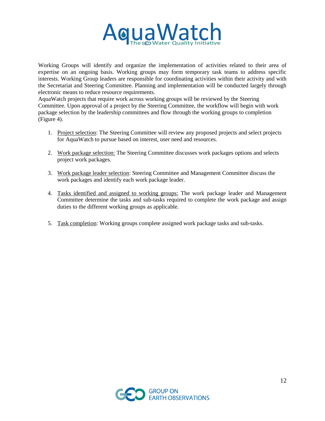

Working Groups will identify and organize the implementation of activities related to their area of expertise on an ongoing basis. Working groups may form temporary task teams to address specific interests. Working Group leaders are responsible for coordinating activities within their activity and with the Secretariat and Steering Committee. Planning and implementation will be conducted largely through electronic means to reduce resource requirements.

AquaWatch projects that require work across working groups will be reviewed by the Steering Committee. Upon approval of a project by the Steering Committee, the workflow will begin with work package selection by the leadership committees and flow through the working groups to completion (Figure 4).

- 1. Project selection: The Steering Committee will review any proposed projects and select projects for AquaWatch to pursue based on interest, user need and resources.
- 2. Work package selection: The Steering Committee discusses work packages options and selects project work packages.
- 3. Work package leader selection: Steering Committee and Management Committee discuss the work packages and identify each work package leader.
- 4. Tasks identified and assigned to working groups: The work package leader and Management Committee determine the tasks and sub-tasks required to complete the work package and assign duties to the different working groups as applicable.
- 5. Task completion: Working groups complete assigned work package tasks and sub-tasks.

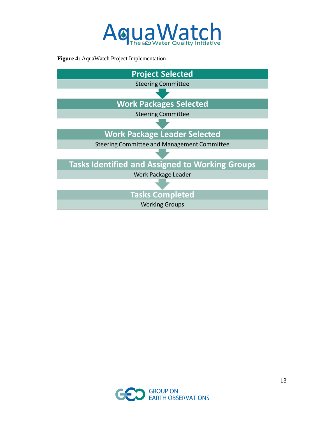

**Figure 4:** AquaWatch Project Implementation



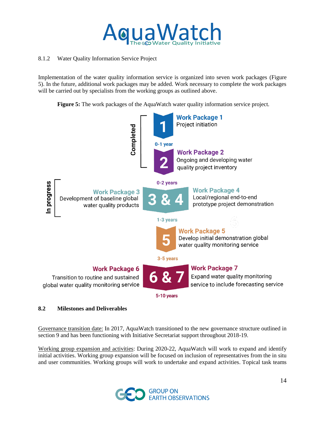

# 8.1.2 Water Quality Information Service Project

Implementation of the water quality information service is organized into seven work packages (Figure 5). In the future, additional work packages may be added. Work necessary to complete the work packages will be carried out by specialists from the working groups as outlined above.

**Figure 5:** The work packages of the AquaWatch water quality information service project.



# <span id="page-15-0"></span>**8.2 Milestones and Deliverables**

Governance transition date: In 2017, AquaWatch transitioned to the new governance structure outlined in section 9 and has been functioning with Initiative Secretariat support throughout 2018-19.

Working group expansion and activities: During 2020-22, AquaWatch will work to expand and identify initial activities. Working group expansion will be focused on inclusion of representatives from the in situ and user communities. Working groups will work to undertake and expand activities. Topical task teams

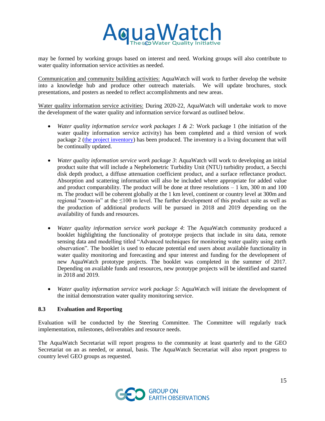

may be formed by working groups based on interest and need. Working groups will also contribute to water quality information service activities as needed.

Communication and community building activities: AquaWatch will work to further develop the website into a knowledge hub and produce other outreach materials. We will update brochures, stock presentations, and posters as needed to reflect accomplishments and new areas.

Water quality information service activities: During 2020-22, AquaWatch will undertake work to move the development of the water quality and information service forward as outlined below.

- *Water quality information service work packages 1 & 2:* Work package 1 (the initiation of the water quality information service activity) has been completed and a third version of work package 2 [\(the project inventory\)](http://www.geoaquawatch.org/work-package-2-project-inventory/) has been produced. The inventory is a living document that will be continually updated.
- *Water quality information service work package 3*: AquaWatch will work to developing an initial product suite that will include a Nephelometric Turbidity Unit (NTU) turbidity product, a Secchi disk depth product, a diffuse attenuation coefficient product, and a surface reflectance product. Absorption and scattering information will also be included where appropriate for added value and product comparability. The product will be done at three resolutions  $-1$  km, 300 m and 100 m. The product will be coherent globally at the 1 km level, continent or country level at 300m and regional "zoom-in" at the  $\leq 100$  m level. The further development of this product suite as well as the production of additional products will be pursued in 2018 and 2019 depending on the availability of funds and resources.
- *Water quality information service work package 4*: The AquaWatch community produced a booklet highlighting the functionality of prototype projects that include in situ data, remote sensing data and modelling titled "Advanced techniques for monitoring water quality using earth observation". The booklet is used to educate potential end users about available functionality in water quality monitoring and forecasting and spur interest and funding for the development of new AquaWatch prototype projects. The booklet was completed in the summer of 2017. Depending on available funds and resources, new prototype projects will be identified and started in 2018 and 2019.
- *Water quality information service work package 5:* AquaWatch will initiate the development of the initial demonstration water quality monitoring service.

# <span id="page-16-0"></span>**8.3 Evaluation and Reporting**

Evaluation will be conducted by the Steering Committee. The Committee will regularly track implementation, milestones, deliverables and resource needs.

The AquaWatch Secretariat will report progress to the community at least quarterly and to the GEO Secretariat on an as needed, or annual, basis. The AquaWatch Secretariat will also report progress to country level GEO groups as requested.

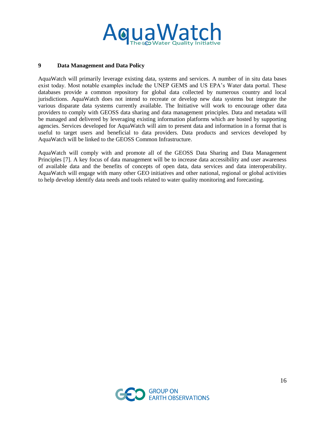

# <span id="page-17-0"></span>**9 Data Management and Data Policy**

AquaWatch will primarily leverage existing data, systems and services. A number of in situ data bases exist today. Most notable examples include the UNEP GEMS and US EPA's Water data portal. These databases provide a common repository for global data collected by numerous country and local jurisdictions. AquaWatch does not intend to recreate or develop new data systems but integrate the various disparate data systems currently available. The Initiative will work to encourage other data providers to comply with GEOSS data sharing and data management principles. Data and metadata will be managed and delivered by leveraging existing information platforms which are hosted by supporting agencies. Services developed for AquaWatch will aim to present data and information in a format that is useful to target users and beneficial to data providers. Data products and services developed by AquaWatch will be linked to the GEOSS Common Infrastructure.

AquaWatch will comply with and promote all of the GEOSS Data Sharing and Data Management Principles [7]. A key focus of data management will be to increase data accessibility and user awareness of available data and the benefits of concepts of open data, data services and data interoperability. AquaWatch will engage with many other GEO initiatives and other national, regional or global activities to help develop identify data needs and tools related to water quality monitoring and forecasting.

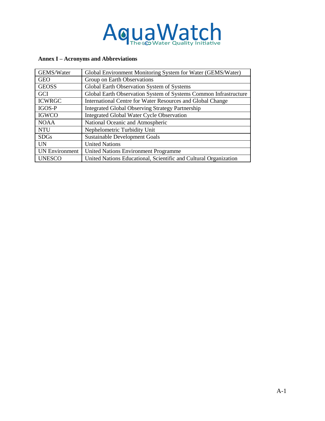

# <span id="page-18-0"></span>**Annex I – Acronyms and Abbreviations**

| GEMS/Water            | Global Environment Monitoring System for Water (GEMS/Water)      |  |  |
|-----------------------|------------------------------------------------------------------|--|--|
| <b>GEO</b>            | Group on Earth Observations                                      |  |  |
| <b>GEOSS</b>          | Global Earth Observation System of Systems                       |  |  |
| <b>GCI</b>            | Global Earth Observation System of Systems Common Infrastructure |  |  |
| <b>ICWRGC</b>         | International Centre for Water Resources and Global Change       |  |  |
| <b>IGOS-P</b>         | <b>Integrated Global Observing Strategy Partnership</b>          |  |  |
| <b>IGWCO</b>          | <b>Integrated Global Water Cycle Observation</b>                 |  |  |
| <b>NOAA</b>           | National Oceanic and Atmospheric                                 |  |  |
| <b>NTU</b>            | Nephelometric Turbidity Unit                                     |  |  |
| <b>SDGs</b>           | <b>Sustainable Development Goals</b>                             |  |  |
| <b>UN</b>             | <b>United Nations</b>                                            |  |  |
| <b>UN Environment</b> | <b>United Nations Environment Programme</b>                      |  |  |
| <b>UNESCO</b>         | United Nations Educational, Scientific and Cultural Organization |  |  |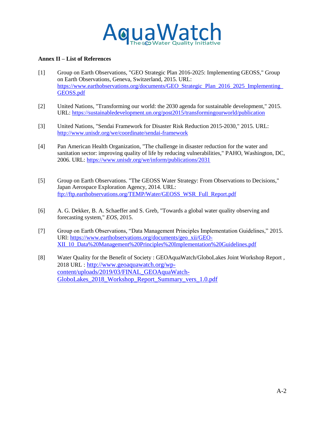

#### <span id="page-19-0"></span>**Annex II – List of References**

- [1] Group on Earth Observations, "GEO Strategic Plan 2016-2025: Implementing GEOSS," Group on Earth Observations, Geneva, Switzerland, 2015. URL: https://www.earthobservations.org/documents/GEO\_Strategic\_Plan\_2016\_2025\_Implementing [GEOSS.pdf](https://www.earthobservations.org/documents/GEO_Strategic_Plan_2016_2025_Implementing_GEOSS.pdf)
- [2] United Nations, "Transforming our world: the 2030 agenda for sustainable development," 2015. URL:<https://sustainabledevelopment.un.org/post2015/transformingourworld/publication>
- [3] United Nations, "Sendai Framework for Disaster Risk Reduction 2015-2030," 2015. URL: <http://www.unisdr.org/we/coordinate/sendai-framework>
- [4] Pan American Health Organization, "The challenge in disaster reduction for the water and sanitation sector: improving quality of life by reducing vulnerabilities," PAHO, Washington, DC, 2006. URL:<https://www.unisdr.org/we/inform/publications/2031>
- [5] Group on Earth Observations. "The GEOSS Water Strategy: From Observations to Decisions," Japan Aerospace Exploration Agency, 2014. URL: [ftp://ftp.earthobservations.org/TEMP/Water/GEOSS\\_WSR\\_Full\\_Report.pdf](ftp://ftp.earthobservations.org/TEMP/Water/GEOSS_WSR_Full_Report.pdf)
- [6] A. G. Dekker, B. A. Schaeffer and S. Greb, "Towards a global water quality observing and forecasting system," *EOS,* 2015.
- [7] Group on Earth Observations, "Data Management Principles Implementation Guidelines," 2015. URl: [https://www.earthobservations.org/documents/geo\\_xii/GEO-](https://www.earthobservations.org/documents/geo_xii/GEO-XII_10_Data%20Management%20Principles%20Implementation%20Guidelines.pdf)[XII\\_10\\_Data%20Management%20Principles%20Implementation%20Guidelines.pdf](https://www.earthobservations.org/documents/geo_xii/GEO-XII_10_Data%20Management%20Principles%20Implementation%20Guidelines.pdf)
- [8] Water Quality for the Benefit of Society : GEOAquaWatch/GloboLakes Joint Workshop Report , 2018 URL : [http://www.geoaquawatch.org/wp](http://www.geoaquawatch.org/wp-content/uploads/2019/03/FINAL_GEOAquaWatch-GloboLakes_2018_Workshop_Report_Summary_vers_1.0.pdf)[content/uploads/2019/03/FINAL\\_GEOAquaWatch-](http://www.geoaquawatch.org/wp-content/uploads/2019/03/FINAL_GEOAquaWatch-GloboLakes_2018_Workshop_Report_Summary_vers_1.0.pdf)[GloboLakes\\_2018\\_Workshop\\_Report\\_Summary\\_vers\\_1.0.pdf](http://www.geoaquawatch.org/wp-content/uploads/2019/03/FINAL_GEOAquaWatch-GloboLakes_2018_Workshop_Report_Summary_vers_1.0.pdf)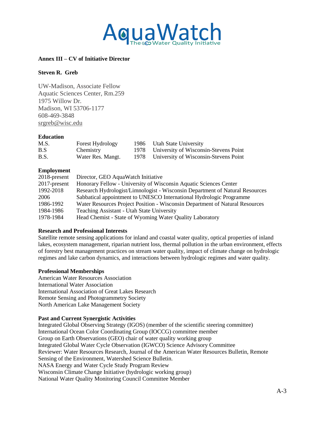

# <span id="page-20-0"></span>**Annex III – CV of Initiative Director**

# **Steven R. Greb**

UW-Madison, Associate Fellow Aquatic Sciences Center, Rm.259 1975 Willow Dr. Madison, WI 53706-1177 608-469-3848 [srgreb@wisc.edu](mailto:srgreb@wisc.edu)

#### **Education**

| M.S. | Forest Hydrology  | 1986 Utah State University                 |
|------|-------------------|--------------------------------------------|
| B.S  | Chemistry         | 1978 University of Wisconsin-Stevens Point |
| B.S. | Water Res. Mangt. | 1978 University of Wisconsin-Stevens Point |

#### **Employment**

| Director, GEO AquaWatch Initiative                                           |
|------------------------------------------------------------------------------|
| Honorary Fellow - University of Wisconsin Aquatic Sciences Center            |
| Research Hydrologist/Limnologist - Wisconsin Department of Natural Resources |
| Sabbatical appointment to UNESCO International Hydrologic Programme          |
| Water Resources Project Position - Wisconsin Department of Natural Resources |
| <b>Teaching Assistant - Utah State University</b>                            |
| Head Chemist - State of Wyoming Water Quality Laboratory                     |
|                                                                              |

# **Research and Professional Interests**

Satellite remote sensing applications for inland and coastal water quality, optical properties of inland lakes, ecosystem management, riparian nutrient loss, thermal pollution in the urban environment, effects of forestry best management practices on stream water quality, impact of climate change on hydrologic regimes and lake carbon dynamics, and interactions between hydrologic regimes and water quality.

#### **Professional Memberships**

American Water Resources Association International Water Association International Association of Great Lakes Research Remote Sensing and Photogrammetry Society North American Lake Management Society

# **Past and Current Synergistic Activities**

Integrated Global Observing Strategy (IGOS) (member of the scientific steering committee) International Ocean Color Coordinating Group (IOCCG) committee member Group on Earth Observations (GEO) chair of water quality working group Integrated Global Water Cycle Observation (IGWCO) Science Advisory Committee Reviewer: Water Resources Research, Journal of the American Water Resources Bulletin, Remote Sensing of the Environment, Watershed Science Bulletin. NASA Energy and Water Cycle Study Program Review Wisconsin Climate Change Initiative (hydrologic working group) National Water Quality Monitoring Council Committee Member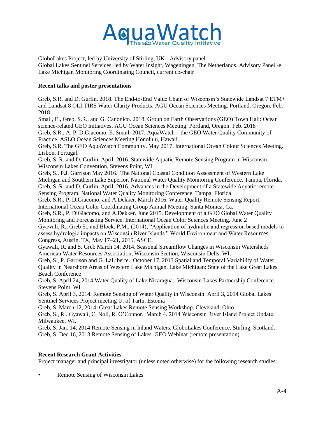

GloboLakes Project, led by University of Stirling, UK - Advisory panel Global Lakes Sentinel Services, led by Water Insight, Wageningen, The Netherlands. Advisory Panel -e Lake Michigan Monitoring Coordinating Council, current co-chair

# **Recent talks and poster presentations**

Greb, S.R. and D. Gurlin. 2018. The End-to-End Value Chain of Wisconsin's Statewide Landsat 7 ETM+ and Landsat 8 OLI-TIRS Water Clarity Products. AGU Ocean Sciences Meeting. Portland, Oregon. Feb. 2018

Smail, E., Greb, S.R., and G. Canonico. 2018. Group on Earth Observations (GEO) Town Hall: Ocean science-related GEO Initiatives. AGU Ocean Sciences Meeting. Portland, Oregon. Feb. 2018 Greb, S.R., A. P. DiGiacomo, E. Smail. 2017. AquaWatch – the GEO Water Quality Community of

Practice. ASLO Ocean Sciences Meeting Honolulu, Hawaii.

Greb, S.R. The GEO AquaWatch Community. May 2017. International Ocean Colour Sciences Meeting. Lisbon, Portugal.

Greb, S. R. and D. Gurlin. April 2016. Statewide Aquatic Remote Sensing Program in Wisconsin. Wisconsin Lakes Convention, Stevens Point, WI

Greb, S., P.J. Garrison May 2016. The National Coastal Condition Assessment of Western Lake Michigan and Southern Lake Superior. National Water Quality Monitoring Conference. Tampa, Florida. Greb, S. R. and D. Gurlin. April 2016. Advances in the Development of a Statewide Aquatic remote Sensing Program. National Water Quality Monitoring Conference. Tampa, Florida.

Greb, S.R., P. DiGiacomo, and A.Dekker. March 2016. Water Quality Remote Sensing Report. International Ocean Color Coordinating Group Annual Meeting. Santa Monica, Ca.

Greb, S.R., P. DiGiacomo, and A.Dekker. June 2015. Development of a GEO Global Water Quality Monitoring and Forecasting Service. International Ocean Color Sciences Meeting. June 2

Gyawali, R., Greb S., and Block, P.M., (2014), "Application of hydraulic and regression based models to assess hydrologic impacts on Wisconsin River Islands." World Environment and Water Resources Congress, Austin, TX, May 17–21, 2015, ASCE.

Gyawali, R. and S. Greb March 14, 2014. Seasonal Streamflow Changes in Wisconsin Watersheds American Water Resources Association, Wisconsin Section, Wisconsin Dells, WI.

Greb, S., P. Garrison and G. LaLiberte. October 17, 2013 Spatial and Temporal Variability of Water Quality in Nearshore Areas of Western Lake Michigan. Lake Michigan: State of the Lake Great Lakes Beach Conference

Greb, S. April 24, 2014 Water Quality of Lake Nicaragua. Wisconsin Lakes Partnership Conference. Stevens Point, WI

Greb, S. April 3, 2014. Remote Sensing of Water Quality in Wisconsin. April 3, 2014 Global Lakes Sentinel Services Project meeting U. of Tartu, Estonia

Greb, S. March 12, 2014. Great Lakes Remote Sensing Workshop. Cleveland, Ohio

Greb, S., R., Gyawali, C. Noll, R. O'Connor. March 4, 2014 Wisconsin River Island Project Update. Milwaukee, WI.

Greb, S. Jan. 14, 2014 Remote Sensing in Inland Waters. GloboLakes Conference. Stirling, Scotland. Greb, S. Dec 16, 2013 Remote Sensing of Lakes. GEO Webinar (remote presentation)

# **Recent Research Grant Activities**

Project manager and principal investigator (unless noted otherwise) for the following research studies:

• Remote Sensing of Wisconsin Lakes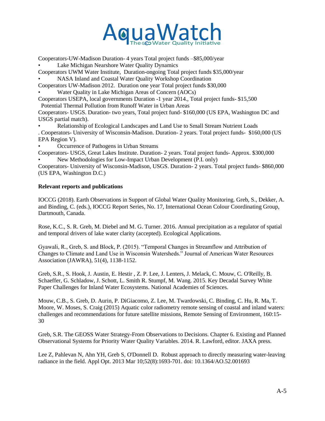

Cooperators-UW-Madison Duration- 4 years Total project funds –\$85,000/year

Lake Michigan Nearshore Water Quality Dynamics

Cooperators UWM Water Institute, Duration-ongoing Total project funds \$35,000/year

• NASA Inland and Coastal Water Quality Workshop Coordination

Cooperators UW-Madison 2012. Duration one year Total project funds \$30,000

• Water Quality in Lake Michigan Areas of Concern (AOCs)

Cooperators USEPA, local governments Duration -1 year 2014., Total project funds- \$15,500 Potential Thermal Pollution from Runoff Water in Urban Areas

Cooperators- USGS. Duration- two years, Total project fund- \$160,000 (US EPA, Washington DC and USGS partial match).

• Relationship of Ecological Landscapes and Land Use to Small Stream Nutrient Loads . Cooperators- University of Wisconsin-Madison. Duration- 2 years. Total project funds- \$160,000 (US EPA Region V).

• Occurrence of Pathogens in Urban Streams

Cooperators- USGS, Great Lakes Institute. Duration- 2 years. Total project funds- Approx. \$300,000 • New Methodologies for Low-Impact Urban Development (P.I. only)

Cooperators- University of Wisconsin-Madison, USGS. Duration- 2 years. Total project funds- \$860,000 (US EPA, Washington D.C.)

# **Relevant reports and publications**

IOCCG (2018). Earth Observations in Support of Global Water Quality Monitoring. Greb, S., Dekker, A. and Binding, C. (eds.), IOCCG Report Series, No. 17, International Ocean Colour Coordinating Group, Dartmouth, Canada.

Rose, K.C., S. R. Greb, M. Diebel and M. G. Turner. 2016. Annual precipitation as a regulator of spatial and temporal drivers of lake water clarity (accepted). Ecological Applications.

Gyawali, R., Greb, S. and Block, P. (2015). "Temporal Changes in Streamflow and Attribution of Changes to Climate and Land Use in Wisconsin Watersheds." Journal of American Water Resources Association (JAWRA), 51(4), 1138-1152.

Greb, S.R., S. Hook, J. Austin, E. Hestir , Z. P. Lee, J. Lenters, J. Melack, C. Mouw, C. O'Reilly, B. Schaeffer, G. Schladow, J. Schott, L. Smith R. Stumpf, M. Wang. 2015. Key Decadal Survey White Paper Challenges for Inland Water Ecosystems. National Academies of Sciences.

Mouw, C.B., S. Greb, D. Aurin, P. DiGiacomo, Z. Lee, M. Twardowski, C. Binding, C. Hu, R. Ma, T. Moore, W. Moses, S. Craig (2015) Aquatic color radiometry remote sensing of coastal and inland waters: challenges and recommendations for future satellite missions, Remote Sensing of Environment, 160:15- 30

Greb, S.R. The GEOSS Water Strategy-From Observations to Decisions. Chapter 6. Existing and Planned Observational Systems for Priority Water Quality Variables. 2014. R. Lawford, editor. JAXA press.

Lee Z, Pahlevan N, Ahn YH, Greb S, O'Donnell D. Robust approach to directly measuring water-leaving radiance in the field. Appl Opt. 2013 Mar 10;52(8):1693-701. doi: 10.1364/AO.52.001693